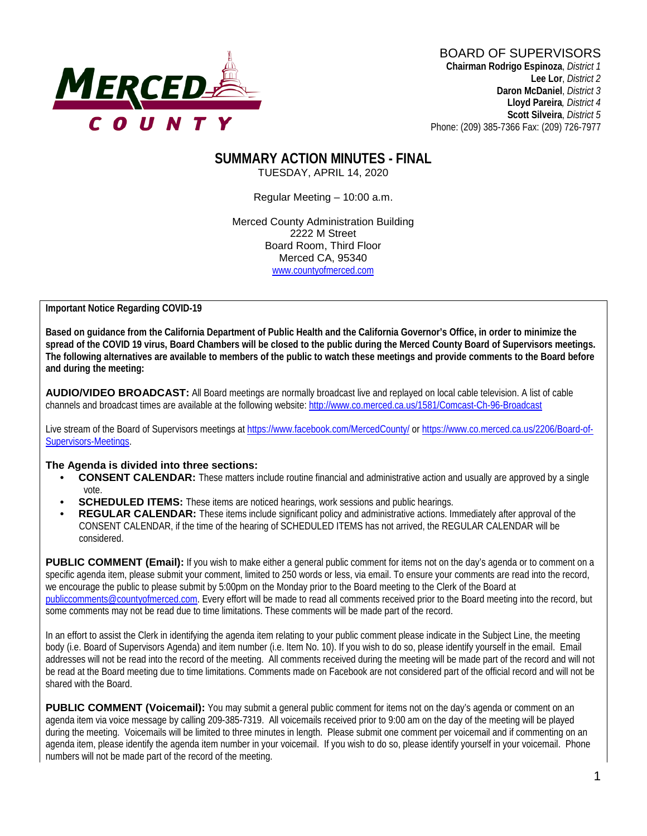

**Lee Lor**, *District 2*  **Daron McDaniel**, *District 3* **Lloyd Pareira***, District 4*  **Scott Silveira**, *District 5* Phone: (209) 385-7366 Fax: (209) 726-7977

#### **SUMMARY ACTION MINUTES - FINAL** TUESDAY, APRIL 14, 2020

Regular Meeting – 10:00 a.m.

Merced County Administration Building 2222 M Street Board Room, Third Floor Merced CA, 95340 www.countyofmerced.com

**Important Notice Regarding COVID-19** 

**Based on guidance from the California Department of Public Health and the California Governor's Office, in order to minimize the spread of the COVID 19 virus, Board Chambers will be closed to the public during the Merced County Board of Supervisors meetings. The following alternatives are available to members of the public to watch these meetings and provide comments to the Board before and during the meeting:**

**AUDIO/VIDEO BROADCAST:** All Board meetings are normally broadcast live and replayed on local cable television. A list of cable channels and broadcast times are available at the following website[: http://www.co.merced.ca.us/1581/Comcast-Ch-96-Broadcast](http://www.co.merced.ca.us/1581/Comcast-Ch-96-Broadcast)

Live stream of the Board of Supervisors meetings at<https://www.facebook.com/MercedCounty/> o[r https://www.co.merced.ca.us/2206/Board-of-](https://www.co.merced.ca.us/2206/Board-of-Supervisors-Meetings)[Supervisors-Meetings.](https://www.co.merced.ca.us/2206/Board-of-Supervisors-Meetings)

#### **The Agenda is divided into three sections:**

- **CONSENT CALENDAR:** These matters include routine financial and administrative action and usually are approved by a single vote.
- **SCHEDULED ITEMS:** These items are noticed hearings, work sessions and public hearings.
- **REGULAR CALENDAR:** These items include significant policy and administrative actions. Immediately after approval of the CONSENT CALENDAR, if the time of the hearing of SCHEDULED ITEMS has not arrived, the REGULAR CALENDAR will be considered.

**PUBLIC COMMENT (Email):** If you wish to make either a general public comment for items not on the day's agenda or to comment on a specific agenda item, please submit your comment, limited to 250 words or less, via email. To ensure your comments are read into the record, we encourage the public to please submit by 5:00pm on the Monday prior to the Board meeting to the Clerk of the Board at [publiccomments@countyofmerced.com.](mailto:publiccomments@countyofmerced.com) Every effort will be made to read all comments received prior to the Board meeting into the record, but some comments may not be read due to time limitations. These comments will be made part of the record.

In an effort to assist the Clerk in identifying the agenda item relating to your public comment please indicate in the Subject Line, the meeting body (i.e. Board of Supervisors Agenda) and item number (i.e. Item No. 10). If you wish to do so, please identify yourself in the email. Email addresses will not be read into the record of the meeting. All comments received during the meeting will be made part of the record and will not be read at the Board meeting due to time limitations. Comments made on Facebook are not considered part of the official record and will not be shared with the Board.

**PUBLIC COMMENT (Voicemail):** You may submit a general public comment for items not on the day's agenda or comment on an agenda item via voice message by calling 209-385-7319. All voicemails received prior to 9:00 am on the day of the meeting will be played during the meeting. Voicemails will be limited to three minutes in length. Please submit one comment per voicemail and if commenting on an agenda item, please identify the agenda item number in your voicemail. If you wish to do so, please identify yourself in your voicemail. Phone numbers will not be made part of the record of the meeting.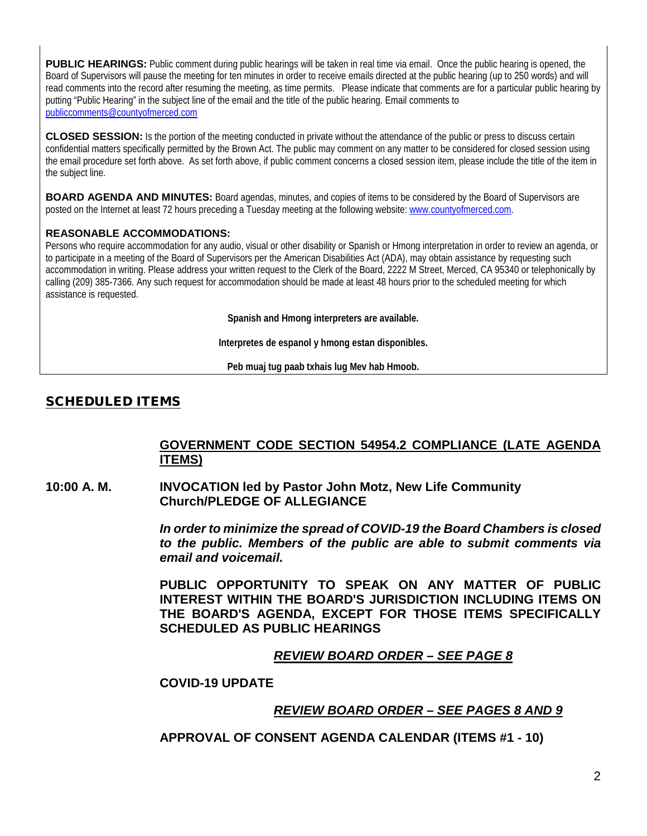**PUBLIC HEARINGS:** Public comment during public hearings will be taken in real time via email. Once the public hearing is opened, the Board of Supervisors will pause the meeting for ten minutes in order to receive emails directed at the public hearing (up to 250 words) and will read comments into the record after resuming the meeting, as time permits. Please indicate that comments are for a particular public hearing by putting "Public Hearing" in the subject line of the email and the title of the public hearing. Email comments to [publiccomments@countyofmerced.com](mailto:publiccomments@countyofmerced.com)

**CLOSED SESSION:** Is the portion of the meeting conducted in private without the attendance of the public or press to discuss certain confidential matters specifically permitted by the Brown Act. The public may comment on any matter to be considered for closed session using the email procedure set forth above. As set forth above, if public comment concerns a closed session item, please include the title of the item in the subject line.

**BOARD AGENDA AND MINUTES:** Board agendas, minutes, and copies of items to be considered by the Board of Supervisors are posted on the Internet at least 72 hours preceding a Tuesday meeting at the following website: [www.countyofmerced.com.](http://www.countyofmerced.com/)

#### **REASONABLE ACCOMMODATIONS:**

Persons who require accommodation for any audio, visual or other disability or Spanish or Hmong interpretation in order to review an agenda, or to participate in a meeting of the Board of Supervisors per the American Disabilities Act (ADA), may obtain assistance by requesting such accommodation in writing. Please address your written request to the Clerk of the Board, 2222 M Street, Merced, CA 95340 or telephonically by calling (209) 385-7366. Any such request for accommodation should be made at least 48 hours prior to the scheduled meeting for which assistance is requested.

**Spanish and Hmong interpreters are available.**

**Interpretes de espanol y hmong estan disponibles.**

**Peb muaj tug paab txhais lug Mev hab Hmoob.**

#### SCHEDULED ITEMS

#### **GOVERNMENT CODE SECTION 54954.2 COMPLIANCE (LATE AGENDA ITEMS)**

**10:00 A. M. INVOCATION led by Pastor John Motz, New Life Community Church/PLEDGE OF ALLEGIANCE**

> *In order to minimize the spread of COVID-19 the Board Chambers is closed to the public. Members of the public are able to submit comments via email and voicemail.*

> **PUBLIC OPPORTUNITY TO SPEAK ON ANY MATTER OF PUBLIC INTEREST WITHIN THE BOARD'S JURISDICTION INCLUDING ITEMS ON THE BOARD'S AGENDA, EXCEPT FOR THOSE ITEMS SPECIFICALLY SCHEDULED AS PUBLIC HEARINGS**

#### *REVIEW BOARD ORDER – SEE PAGE 8*

#### **COVID-19 UPDATE**

#### *REVIEW BOARD ORDER – SEE PAGES 8 AND 9*

**APPROVAL OF CONSENT AGENDA CALENDAR (ITEMS #1 - 10)**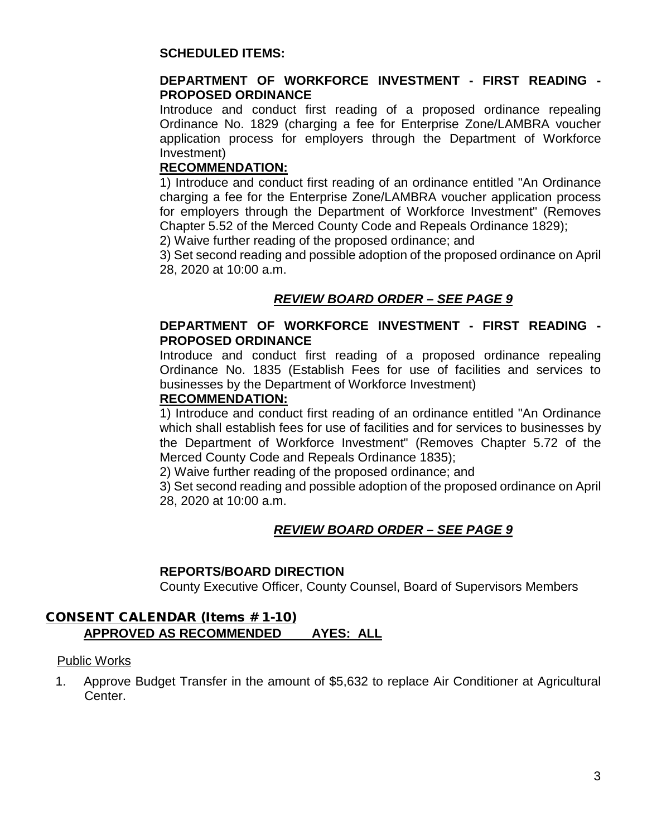#### **SCHEDULED ITEMS:**

#### **DEPARTMENT OF WORKFORCE INVESTMENT - FIRST READING - PROPOSED ORDINANCE**

Introduce and conduct first reading of a proposed ordinance repealing Ordinance No. 1829 (charging a fee for Enterprise Zone/LAMBRA voucher application process for employers through the Department of Workforce Investment)

#### **RECOMMENDATION:**

1) Introduce and conduct first reading of an ordinance entitled "An Ordinance charging a fee for the Enterprise Zone/LAMBRA voucher application process for employers through the Department of Workforce Investment" (Removes Chapter 5.52 of the Merced County Code and Repeals Ordinance 1829); 2) Waive further reading of the proposed ordinance; and

3) Set second reading and possible adoption of the proposed ordinance on April 28, 2020 at 10:00 a.m.

# *REVIEW BOARD ORDER – SEE PAGE 9*

#### **DEPARTMENT OF WORKFORCE INVESTMENT - FIRST READING - PROPOSED ORDINANCE**

Introduce and conduct first reading of a proposed ordinance repealing Ordinance No. 1835 (Establish Fees for use of facilities and services to businesses by the Department of Workforce Investment)

#### **RECOMMENDATION:**

1) Introduce and conduct first reading of an ordinance entitled "An Ordinance which shall establish fees for use of facilities and for services to businesses by the Department of Workforce Investment" (Removes Chapter 5.72 of the Merced County Code and Repeals Ordinance 1835);

2) Waive further reading of the proposed ordinance; and

3) Set second reading and possible adoption of the proposed ordinance on April 28, 2020 at 10:00 a.m.

# *REVIEW BOARD ORDER – SEE PAGE 9*

#### **REPORTS/BOARD DIRECTION**

County Executive Officer, County Counsel, Board of Supervisors Members

#### CONSENT CALENDAR (Items # 1-10) **APPROVED AS RECOMMENDED AYES: ALL**

#### Public Works

1. Approve Budget Transfer in the amount of \$5,632 to replace Air Conditioner at Agricultural Center.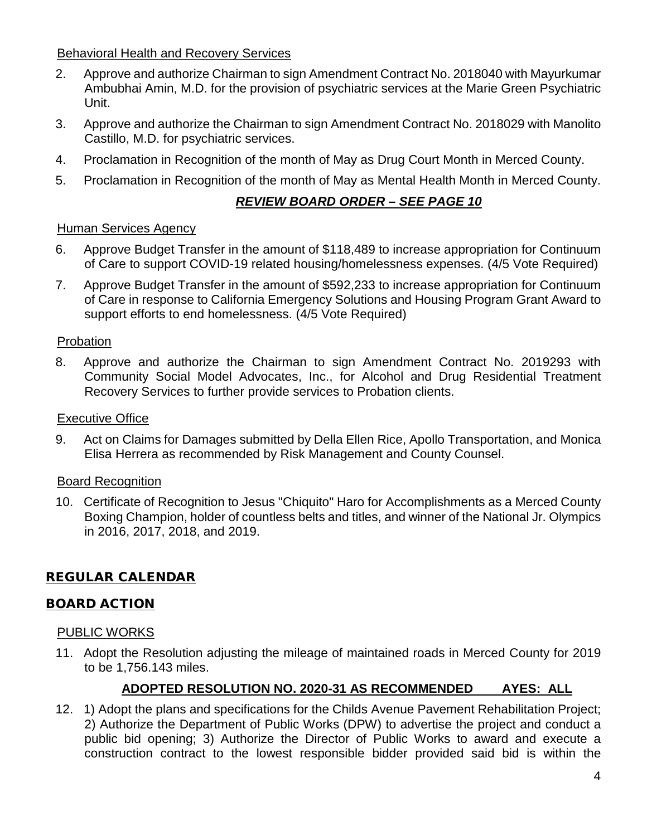#### Behavioral Health and Recovery Services

- 2. Approve and authorize Chairman to sign Amendment Contract No. 2018040 with Mayurkumar Ambubhai Amin, M.D. for the provision of psychiatric services at the Marie Green Psychiatric Unit.
- 3. Approve and authorize the Chairman to sign Amendment Contract No. 2018029 with Manolito Castillo, M.D. for psychiatric services.
- 4. Proclamation in Recognition of the month of May as Drug Court Month in Merced County.
- 5. Proclamation in Recognition of the month of May as Mental Health Month in Merced County.

# *REVIEW BOARD ORDER – SEE PAGE 10*

#### Human Services Agency

- 6. Approve Budget Transfer in the amount of \$118,489 to increase appropriation for Continuum of Care to support COVID-19 related housing/homelessness expenses. (4/5 Vote Required)
- 7. Approve Budget Transfer in the amount of \$592,233 to increase appropriation for Continuum of Care in response to California Emergency Solutions and Housing Program Grant Award to support efforts to end homelessness. (4/5 Vote Required)

#### Probation

8. Approve and authorize the Chairman to sign Amendment Contract No. 2019293 with Community Social Model Advocates, Inc., for Alcohol and Drug Residential Treatment Recovery Services to further provide services to Probation clients.

#### Executive Office

9. Act on Claims for Damages submitted by Della Ellen Rice, Apollo Transportation, and Monica Elisa Herrera as recommended by Risk Management and County Counsel.

#### Board Recognition

10. Certificate of Recognition to Jesus "Chiquito" Haro for Accomplishments as a Merced County Boxing Champion, holder of countless belts and titles, and winner of the National Jr. Olympics in 2016, 2017, 2018, and 2019.

# REGULAR CALENDAR

#### BOARD ACTION

#### PUBLIC WORKS

11. Adopt the Resolution adjusting the mileage of maintained roads in Merced County for 2019 to be 1,756.143 miles.

#### **ADOPTED RESOLUTION NO. 2020-31 AS RECOMMENDED AYES: ALL**

12. 1) Adopt the plans and specifications for the Childs Avenue Pavement Rehabilitation Project; 2) Authorize the Department of Public Works (DPW) to advertise the project and conduct a public bid opening; 3) Authorize the Director of Public Works to award and execute a construction contract to the lowest responsible bidder provided said bid is within the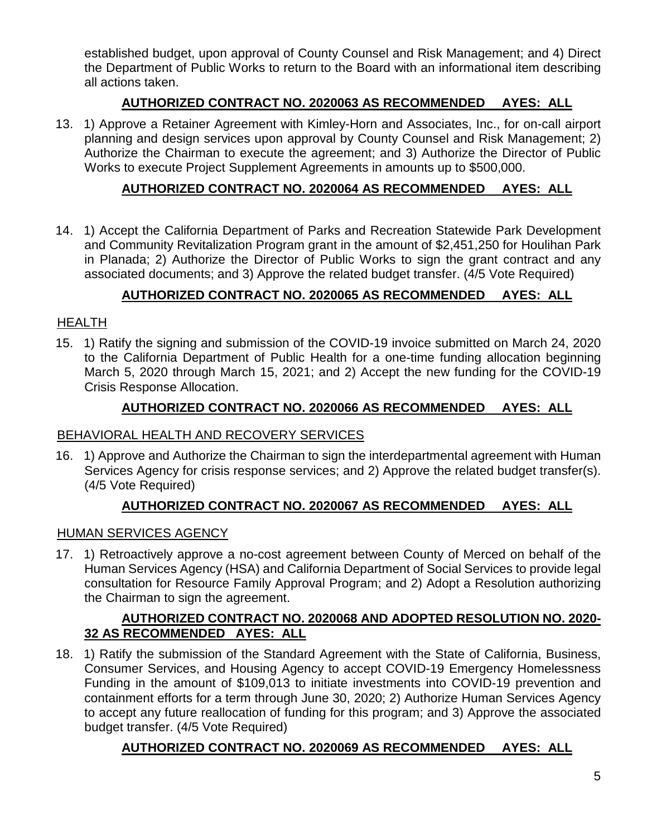established budget, upon approval of County Counsel and Risk Management; and 4) Direct the Department of Public Works to return to the Board with an informational item describing all actions taken.

# **AUTHORIZED CONTRACT NO. 2020063 AS RECOMMENDED AYES: ALL**

13. 1) Approve a Retainer Agreement with Kimley-Horn and Associates, Inc., for on-call airport planning and design services upon approval by County Counsel and Risk Management; 2) Authorize the Chairman to execute the agreement; and 3) Authorize the Director of Public Works to execute Project Supplement Agreements in amounts up to \$500,000.

# **AUTHORIZED CONTRACT NO. 2020064 AS RECOMMENDED AYES: ALL**

14. 1) Accept the California Department of Parks and Recreation Statewide Park Development and Community Revitalization Program grant in the amount of \$2,451,250 for Houlihan Park in Planada; 2) Authorize the Director of Public Works to sign the grant contract and any associated documents; and 3) Approve the related budget transfer. (4/5 Vote Required)

# **AUTHORIZED CONTRACT NO. 2020065 AS RECOMMENDED AYES: ALL**

# HEALTH

15. 1) Ratify the signing and submission of the COVID-19 invoice submitted on March 24, 2020 to the California Department of Public Health for a one-time funding allocation beginning March 5, 2020 through March 15, 2021; and 2) Accept the new funding for the COVID-19 Crisis Response Allocation.

# **AUTHORIZED CONTRACT NO. 2020066 AS RECOMMENDED AYES: ALL**

#### BEHAVIORAL HEALTH AND RECOVERY SERVICES

16. 1) Approve and Authorize the Chairman to sign the interdepartmental agreement with Human Services Agency for crisis response services; and 2) Approve the related budget transfer(s). (4/5 Vote Required)

#### **AUTHORIZED CONTRACT NO. 2020067 AS RECOMMENDED AYES: ALL**

#### HUMAN SERVICES AGENCY

17. 1) Retroactively approve a no-cost agreement between County of Merced on behalf of the Human Services Agency (HSA) and California Department of Social Services to provide legal consultation for Resource Family Approval Program; and 2) Adopt a Resolution authorizing the Chairman to sign the agreement.

#### **AUTHORIZED CONTRACT NO. 2020068 AND ADOPTED RESOLUTION NO. 2020- 32 AS RECOMMENDED AYES: ALL**

18. 1) Ratify the submission of the Standard Agreement with the State of California, Business, Consumer Services, and Housing Agency to accept COVID-19 Emergency Homelessness Funding in the amount of \$109,013 to initiate investments into COVID-19 prevention and containment efforts for a term through June 30, 2020; 2) Authorize Human Services Agency to accept any future reallocation of funding for this program; and 3) Approve the associated budget transfer. (4/5 Vote Required)

# **AUTHORIZED CONTRACT NO. 2020069 AS RECOMMENDED AYES: ALL**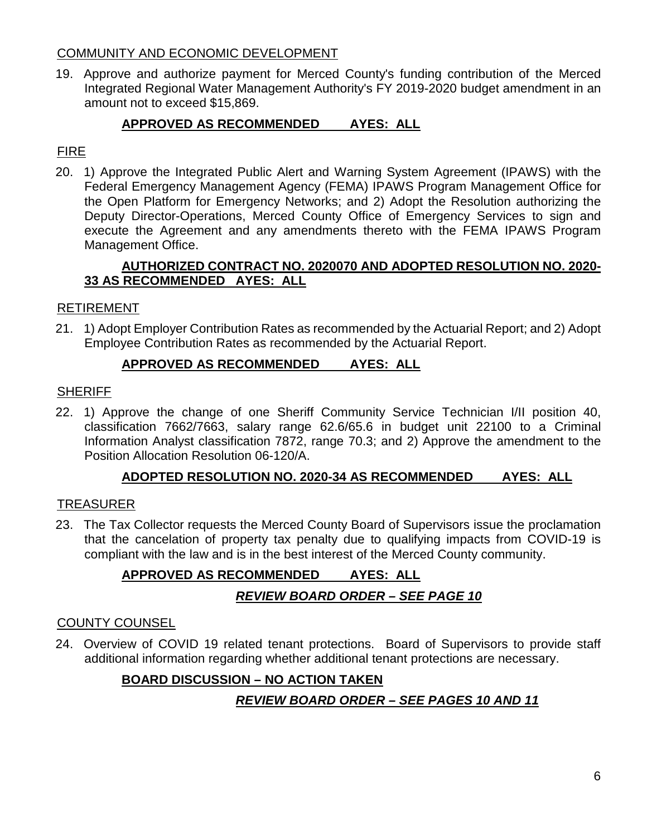#### COMMUNITY AND ECONOMIC DEVELOPMENT

19. Approve and authorize payment for Merced County's funding contribution of the Merced Integrated Regional Water Management Authority's FY 2019-2020 budget amendment in an amount not to exceed \$15,869.

# **APPROVED AS RECOMMENDED AYES: ALL**

# FIRE

20. 1) Approve the Integrated Public Alert and Warning System Agreement (IPAWS) with the Federal Emergency Management Agency (FEMA) IPAWS Program Management Office for the Open Platform for Emergency Networks; and 2) Adopt the Resolution authorizing the Deputy Director-Operations, Merced County Office of Emergency Services to sign and execute the Agreement and any amendments thereto with the FEMA IPAWS Program Management Office.

#### **AUTHORIZED CONTRACT NO. 2020070 AND ADOPTED RESOLUTION NO. 2020- 33 AS RECOMMENDED AYES: ALL**

#### RETIREMENT

21. 1) Adopt Employer Contribution Rates as recommended by the Actuarial Report; and 2) Adopt Employee Contribution Rates as recommended by the Actuarial Report.

#### **APPROVED AS RECOMMENDED AYES: ALL**

#### **SHERIFF**

22. 1) Approve the change of one Sheriff Community Service Technician I/II position 40, classification 7662/7663, salary range 62.6/65.6 in budget unit 22100 to a Criminal Information Analyst classification 7872, range 70.3; and 2) Approve the amendment to the Position Allocation Resolution 06-120/A.

#### **ADOPTED RESOLUTION NO. 2020-34 AS RECOMMENDED AYES: ALL**

#### TREASURER

23. The Tax Collector requests the Merced County Board of Supervisors issue the proclamation that the cancelation of property tax penalty due to qualifying impacts from COVID-19 is compliant with the law and is in the best interest of the Merced County community.

# **APPROVED AS RECOMMENDED AYES: ALL**

# *REVIEW BOARD ORDER – SEE PAGE 10*

#### COUNTY COUNSEL

24. Overview of COVID 19 related tenant protections. Board of Supervisors to provide staff additional information regarding whether additional tenant protections are necessary.

#### **BOARD DISCUSSION – NO ACTION TAKEN**

# *REVIEW BOARD ORDER – SEE PAGES 10 AND 11*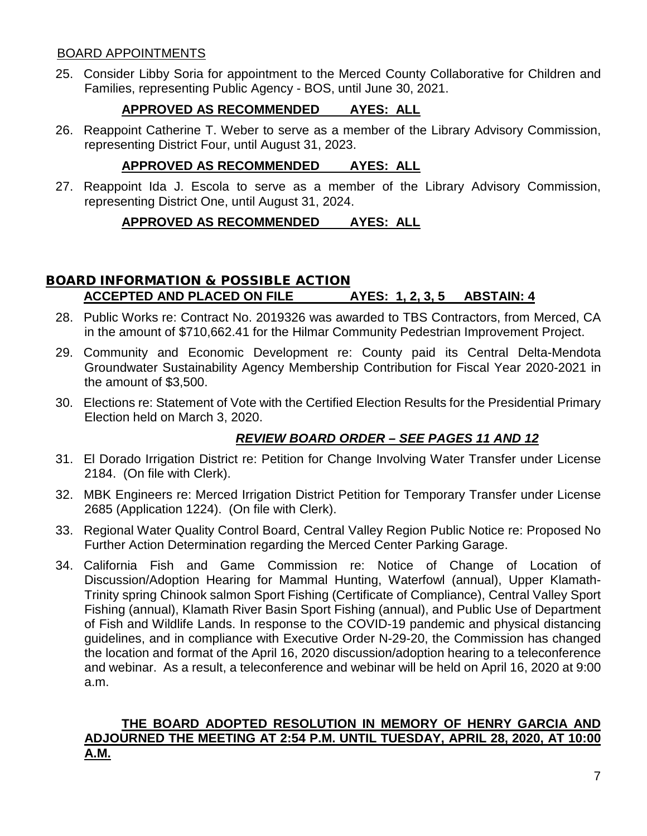#### BOARD APPOINTMENTS

25. Consider Libby Soria for appointment to the Merced County Collaborative for Children and Families, representing Public Agency - BOS, until June 30, 2021.

# **APPROVED AS RECOMMENDED AYES: ALL**

26. Reappoint Catherine T. Weber to serve as a member of the Library Advisory Commission, representing District Four, until August 31, 2023.

# **APPROVED AS RECOMMENDED AYES: ALL**

27. Reappoint Ida J. Escola to serve as a member of the Library Advisory Commission, representing District One, until August 31, 2024.

# **APPROVED AS RECOMMENDED AYES: ALL**

# BOARD INFORMATION & POSSIBLE ACTION **ACCEPTED AND PLACED ON FILE AYES: 1, 2, 3, 5 ABSTAIN: 4**

- 28. Public Works re: Contract No. 2019326 was awarded to TBS Contractors, from Merced, CA in the amount of \$710,662.41 for the Hilmar Community Pedestrian Improvement Project.
- 29. Community and Economic Development re: County paid its Central Delta-Mendota Groundwater Sustainability Agency Membership Contribution for Fiscal Year 2020-2021 in the amount of \$3,500.
- 30. Elections re: Statement of Vote with the Certified Election Results for the Presidential Primary Election held on March 3, 2020.

# *REVIEW BOARD ORDER – SEE PAGES 11 AND 12*

- 31. El Dorado Irrigation District re: Petition for Change Involving Water Transfer under License 2184. (On file with Clerk).
- 32. MBK Engineers re: Merced Irrigation District Petition for Temporary Transfer under License 2685 (Application 1224). (On file with Clerk).
- 33. Regional Water Quality Control Board, Central Valley Region Public Notice re: Proposed No Further Action Determination regarding the Merced Center Parking Garage.
- 34. California Fish and Game Commission re: Notice of Change of Location of Discussion/Adoption Hearing for Mammal Hunting, Waterfowl (annual), Upper Klamath-Trinity spring Chinook salmon Sport Fishing (Certificate of Compliance), Central Valley Sport Fishing (annual), Klamath River Basin Sport Fishing (annual), and Public Use of Department of Fish and Wildlife Lands. In response to the COVID-19 pandemic and physical distancing guidelines, and in compliance with Executive Order N-29-20, the Commission has changed the location and format of the April 16, 2020 discussion/adoption hearing to a teleconference and webinar. As a result, a teleconference and webinar will be held on April 16, 2020 at 9:00 a.m.

#### **THE BOARD ADOPTED RESOLUTION IN MEMORY OF HENRY GARCIA AND ADJOURNED THE MEETING AT 2:54 P.M. UNTIL TUESDAY, APRIL 28, 2020, AT 10:00 A.M.**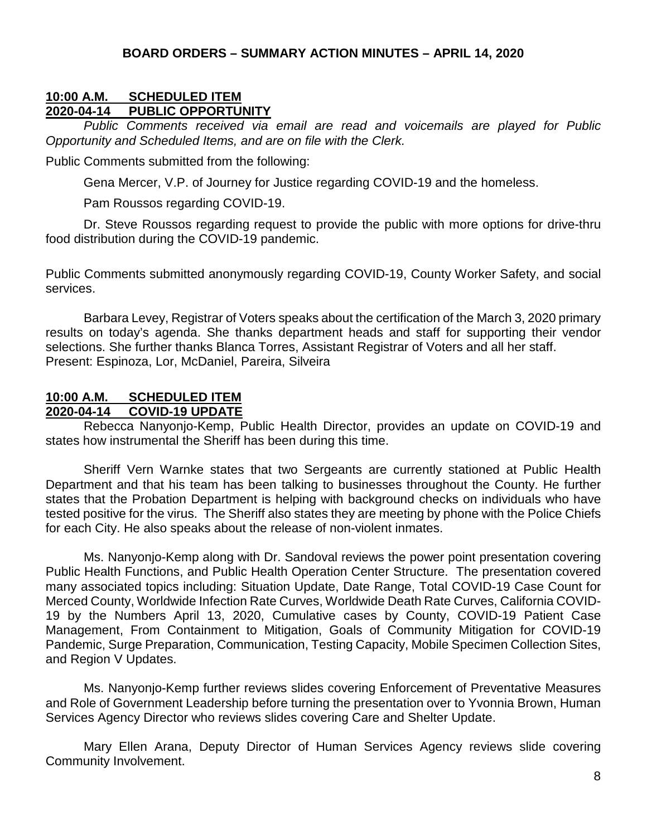#### **BOARD ORDERS – SUMMARY ACTION MINUTES – APRIL 14, 2020**

#### **10:00 A.M. SCHEDULED ITEM 2020-04-14 PUBLIC OPPORTUNITY**

*Public Comments received via email are read and voicemails are played for Public Opportunity and Scheduled Items, and are on file with the Clerk.*

Public Comments submitted from the following:

Gena Mercer, V.P. of Journey for Justice regarding COVID-19 and the homeless.

Pam Roussos regarding COVID-19.

Dr. Steve Roussos regarding request to provide the public with more options for drive-thru food distribution during the COVID-19 pandemic.

Public Comments submitted anonymously regarding COVID-19, County Worker Safety, and social services.

Barbara Levey, Registrar of Voters speaks about the certification of the March 3, 2020 primary results on today's agenda. She thanks department heads and staff for supporting their vendor selections. She further thanks Blanca Torres, Assistant Registrar of Voters and all her staff. Present: Espinoza, Lor, McDaniel, Pareira, Silveira

# **10:00 A.M. SCHEDULED ITEM**

#### **2020-04-14 COVID-19 UPDATE**

Rebecca Nanyonjo-Kemp, Public Health Director, provides an update on COVID-19 and states how instrumental the Sheriff has been during this time.

Sheriff Vern Warnke states that two Sergeants are currently stationed at Public Health Department and that his team has been talking to businesses throughout the County. He further states that the Probation Department is helping with background checks on individuals who have tested positive for the virus. The Sheriff also states they are meeting by phone with the Police Chiefs for each City. He also speaks about the release of non-violent inmates.

Ms. Nanyonjo-Kemp along with Dr. Sandoval reviews the power point presentation covering Public Health Functions, and Public Health Operation Center Structure. The presentation covered many associated topics including: Situation Update, Date Range, Total COVID-19 Case Count for Merced County, Worldwide Infection Rate Curves, Worldwide Death Rate Curves, California COVID-19 by the Numbers April 13, 2020, Cumulative cases by County, COVID-19 Patient Case Management, From Containment to Mitigation, Goals of Community Mitigation for COVID-19 Pandemic, Surge Preparation, Communication, Testing Capacity, Mobile Specimen Collection Sites, and Region V Updates.

Ms. Nanyonjo-Kemp further reviews slides covering Enforcement of Preventative Measures and Role of Government Leadership before turning the presentation over to Yvonnia Brown, Human Services Agency Director who reviews slides covering Care and Shelter Update.

Mary Ellen Arana, Deputy Director of Human Services Agency reviews slide covering Community Involvement.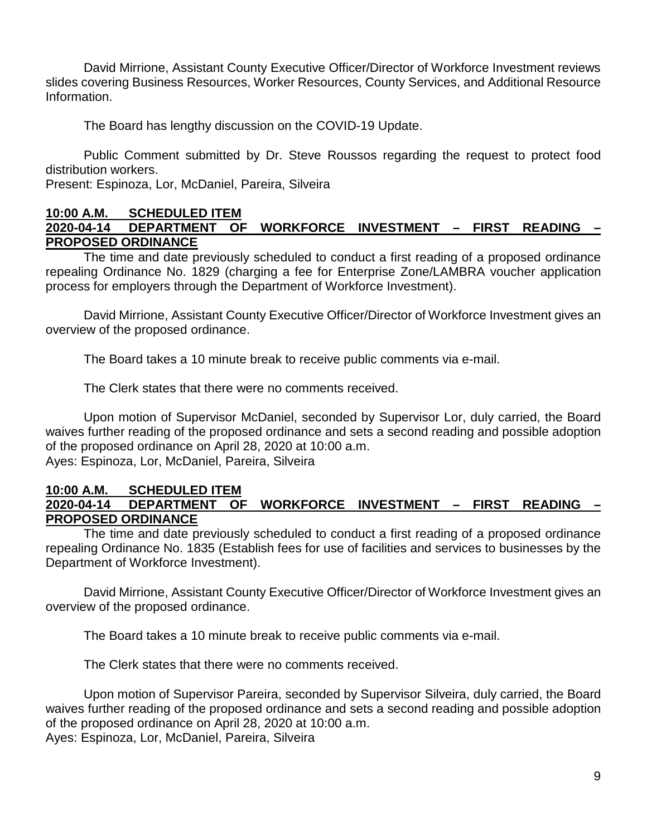David Mirrione, Assistant County Executive Officer/Director of Workforce Investment reviews slides covering Business Resources, Worker Resources, County Services, and Additional Resource Information.

The Board has lengthy discussion on the COVID-19 Update.

Public Comment submitted by Dr. Steve Roussos regarding the request to protect food distribution workers.

Present: Espinoza, Lor, McDaniel, Pareira, Silveira

#### **10:00 A.M. SCHEDULED ITEM 2020-04-14 DEPARTMENT OF WORKFORCE INVESTMENT – FIRST READING – PROPOSED ORDINANCE**

The time and date previously scheduled to conduct a first reading of a proposed ordinance repealing Ordinance No. 1829 (charging a fee for Enterprise Zone/LAMBRA voucher application process for employers through the Department of Workforce Investment).

David Mirrione, Assistant County Executive Officer/Director of Workforce Investment gives an overview of the proposed ordinance.

The Board takes a 10 minute break to receive public comments via e-mail.

The Clerk states that there were no comments received.

Upon motion of Supervisor McDaniel, seconded by Supervisor Lor, duly carried, the Board waives further reading of the proposed ordinance and sets a second reading and possible adoption of the proposed ordinance on April 28, 2020 at 10:00 a.m. Ayes: Espinoza, Lor, McDaniel, Pareira, Silveira

#### **10:00 A.M. SCHEDULED ITEM 2020-04-14 DEPARTMENT OF WORKFORCE INVESTMENT – FIRST READING – PROPOSED ORDINANCE**

The time and date previously scheduled to conduct a first reading of a proposed ordinance repealing Ordinance No. 1835 (Establish fees for use of facilities and services to businesses by the Department of Workforce Investment).

David Mirrione, Assistant County Executive Officer/Director of Workforce Investment gives an overview of the proposed ordinance.

The Board takes a 10 minute break to receive public comments via e-mail.

The Clerk states that there were no comments received.

Upon motion of Supervisor Pareira, seconded by Supervisor Silveira, duly carried, the Board waives further reading of the proposed ordinance and sets a second reading and possible adoption of the proposed ordinance on April 28, 2020 at 10:00 a.m. Ayes: Espinoza, Lor, McDaniel, Pareira, Silveira

9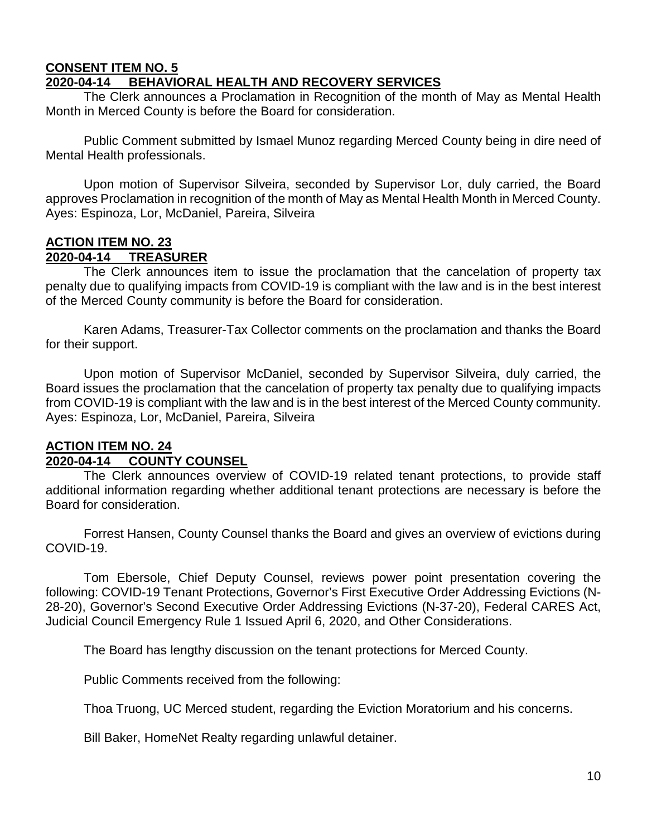#### **CONSENT ITEM NO. 5 2020-04-14 BEHAVIORAL HEALTH AND RECOVERY SERVICES**

The Clerk announces a Proclamation in Recognition of the month of May as Mental Health Month in Merced County is before the Board for consideration.

Public Comment submitted by Ismael Munoz regarding Merced County being in dire need of Mental Health professionals.

Upon motion of Supervisor Silveira, seconded by Supervisor Lor, duly carried, the Board approves Proclamation in recognition of the month of May as Mental Health Month in Merced County. Ayes: Espinoza, Lor, McDaniel, Pareira, Silveira

#### **ACTION ITEM NO. 23 2020-04-14 TREASURER**

The Clerk announces item to issue the proclamation that the cancelation of property tax penalty due to qualifying impacts from COVID-19 is compliant with the law and is in the best interest of the Merced County community is before the Board for consideration.

Karen Adams, Treasurer-Tax Collector comments on the proclamation and thanks the Board for their support.

Upon motion of Supervisor McDaniel, seconded by Supervisor Silveira, duly carried, the Board issues the proclamation that the cancelation of property tax penalty due to qualifying impacts from COVID-19 is compliant with the law and is in the best interest of the Merced County community. Ayes: Espinoza, Lor, McDaniel, Pareira, Silveira

# **ACTION ITEM NO. 24**

# **2020-04-14 COUNTY COUNSEL**

The Clerk announces overview of COVID-19 related tenant protections, to provide staff additional information regarding whether additional tenant protections are necessary is before the Board for consideration.

Forrest Hansen, County Counsel thanks the Board and gives an overview of evictions during COVID-19.

Tom Ebersole, Chief Deputy Counsel, reviews power point presentation covering the following: COVID-19 Tenant Protections, Governor's First Executive Order Addressing Evictions (N-28-20), Governor's Second Executive Order Addressing Evictions (N-37-20), Federal CARES Act, Judicial Council Emergency Rule 1 Issued April 6, 2020, and Other Considerations.

The Board has lengthy discussion on the tenant protections for Merced County.

Public Comments received from the following:

Thoa Truong, UC Merced student, regarding the Eviction Moratorium and his concerns.

Bill Baker, HomeNet Realty regarding unlawful detainer.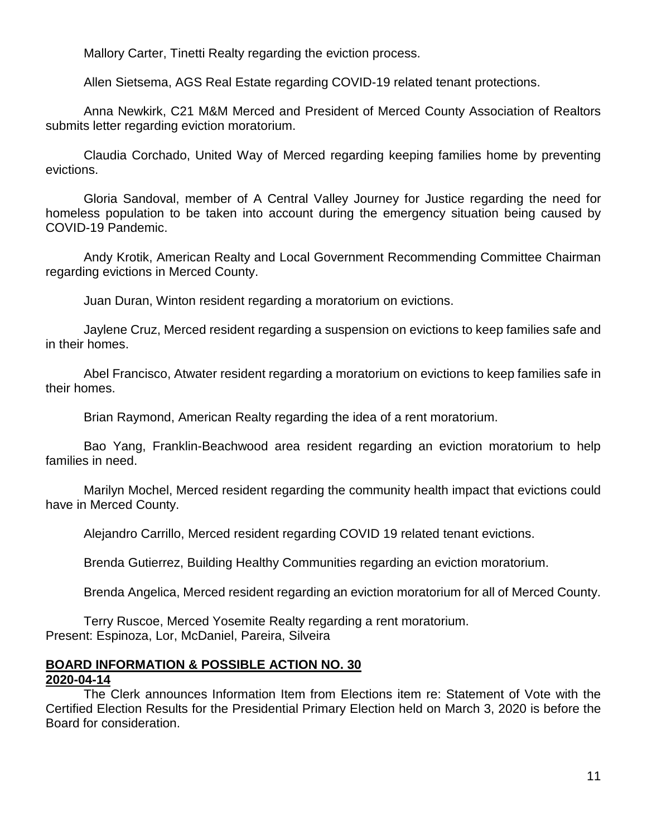Mallory Carter, Tinetti Realty regarding the eviction process.

Allen Sietsema, AGS Real Estate regarding COVID-19 related tenant protections.

Anna Newkirk, C21 M&M Merced and President of Merced County Association of Realtors submits letter regarding eviction moratorium.

Claudia Corchado, United Way of Merced regarding keeping families home by preventing evictions.

Gloria Sandoval, member of A Central Valley Journey for Justice regarding the need for homeless population to be taken into account during the emergency situation being caused by COVID-19 Pandemic.

Andy Krotik, American Realty and Local Government Recommending Committee Chairman regarding evictions in Merced County.

Juan Duran, Winton resident regarding a moratorium on evictions.

Jaylene Cruz, Merced resident regarding a suspension on evictions to keep families safe and in their homes.

Abel Francisco, Atwater resident regarding a moratorium on evictions to keep families safe in their homes.

Brian Raymond, American Realty regarding the idea of a rent moratorium.

Bao Yang, Franklin-Beachwood area resident regarding an eviction moratorium to help families in need.

Marilyn Mochel, Merced resident regarding the community health impact that evictions could have in Merced County.

Alejandro Carrillo, Merced resident regarding COVID 19 related tenant evictions.

Brenda Gutierrez, Building Healthy Communities regarding an eviction moratorium.

Brenda Angelica, Merced resident regarding an eviction moratorium for all of Merced County.

Terry Ruscoe, Merced Yosemite Realty regarding a rent moratorium. Present: Espinoza, Lor, McDaniel, Pareira, Silveira

# **BOARD INFORMATION & POSSIBLE ACTION NO. 30**

#### **2020-04-14**

The Clerk announces Information Item from Elections item re: Statement of Vote with the Certified Election Results for the Presidential Primary Election held on March 3, 2020 is before the Board for consideration.